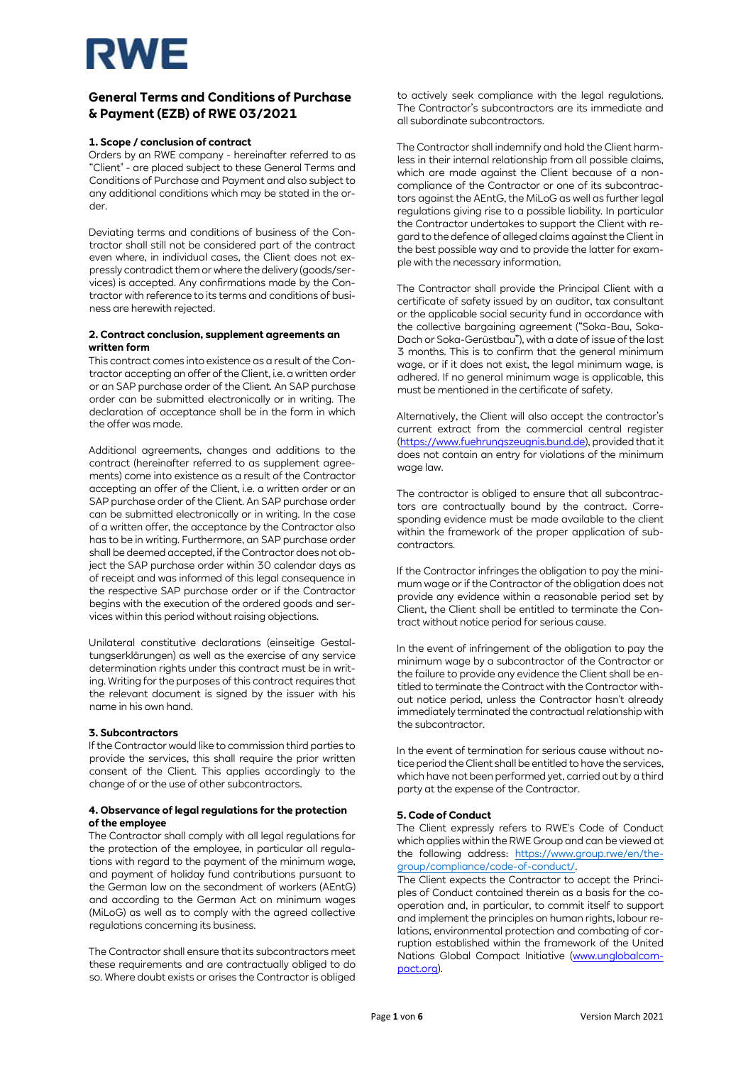

## **General Terms and Conditions of Purchase & Payment (EZB) of RWE 03/2021**

### **1. Scope / conclusion of contract**

Orders by an RWE company - hereinafter referred to as "Client" - are placed subject to these General Terms and Conditions of Purchase and Payment and also subject to any additional conditions which may be stated in the order.

Deviating terms and conditions of business of the Contractor shall still not be considered part of the contract even where, in individual cases, the Client does not expressly contradict them or where the delivery (goods/services) is accepted. Any confirmations made by the Contractor with reference to its terms and conditions of business are herewith rejected.

### **2. Contract conclusion, supplement agreements an written form**

This contract comes into existence as a result of the Contractor accepting an offer of the Client, i.e. a written order or an SAP purchase order of the Client. An SAP purchase order can be submitted electronically or in writing. The declaration of acceptance shall be in the form in which the offer was made.

Additional agreements, changes and additions to the contract (hereinafter referred to as supplement agreements) come into existence as a result of the Contractor accepting an offer of the Client, i.e. a written order or an SAP purchase order of the Client. An SAP purchase order can be submitted electronically or in writing. In the case of a written offer, the acceptance by the Contractor also has to be in writing. Furthermore, an SAP purchase order shall be deemed accepted, if the Contractor does not object the SAP purchase order within 30 calendar days as of receipt and was informed of this legal consequence in the respective SAP purchase order or if the Contractor begins with the execution of the ordered goods and services within this period without raising objections.

Unilateral constitutive declarations (einseitige Gestaltungserklärungen) as well as the exercise of any service determination rights under this contract must be in writing. Writing for the purposes of this contract requires that the relevant document is signed by the issuer with his name in his own hand.

#### **3. Subcontractors**

If the Contractor would like to commission third parties to provide the services, this shall require the prior written consent of the Client. This applies accordingly to the change of or the use of other subcontractors.

### **4. Observance of legal regulations for the protection of the employee**

The Contractor shall comply with all legal regulations for the protection of the employee, in particular all regulations with regard to the payment of the minimum wage, and payment of holiday fund contributions pursuant to the German law on the secondment of workers (AEntG) and according to the German Act on minimum wages (MiLoG) as well as to comply with the agreed collective regulations concerning its business.

The Contractor shall ensure that its subcontractors meet these requirements and are contractually obliged to do so. Where doubt exists or arises the Contractor is obliged

to actively seek compliance with the legal regulations. The Contractor's subcontractors are its immediate and all subordinate subcontractors.

The Contractor shall indemnify and hold the Client harmless in their internal relationship from all possible claims, which are made against the Client because of a noncompliance of the Contractor or one of its subcontractors against the AEntG, the MiLoG as well as further legal regulations giving rise to a possible liability. In particular the Contractor undertakes to support the Client with regard to the defence of alleged claims against the Client in the best possible way and to provide the latter for example with the necessary information.

The Contractor shall provide the Principal Client with a certificate of safety issued by an auditor, tax consultant or the applicable social security fund in accordance with the collective bargaining agreement ("Soka-Bau, Soka-Dach or Soka-Gerüstbau"), with a date of issue of the last 3 months. This is to confirm that the general minimum wage, or if it does not exist, the legal minimum wage, is adhered. If no general minimum wage is applicable, this must be mentioned in the certificate of safety.

Alternatively, the Client will also accept the contractor's current extract from the commercial central register [\(https://www.fuehrungszeugnis.bund.de\),](https://www.fuehrungszeugnis.bund.de/) provided that it does not contain an entry for violations of the minimum wage law.

The contractor is obliged to ensure that all subcontractors are contractually bound by the contract. Corresponding evidence must be made available to the client within the framework of the proper application of subcontractors.

If the Contractor infringes the obligation to pay the minimum wage or if the Contractor of the obligation does not provide any evidence within a reasonable period set by Client, the Client shall be entitled to terminate the Contract without notice period for serious cause.

In the event of infringement of the obligation to pay the minimum wage by a subcontractor of the Contractor or the failure to provide any evidence the Client shall be entitled to terminate the Contract with the Contractor without notice period, unless the Contractor hasn't already immediately terminated the contractual relationship with the subcontractor.

In the event of termination for serious cause without notice period the Client shall be entitled to have the services, which have not been performed yet, carried out by a third party at the expense of the Contractor.

## **5. Code of Conduct**

The Client expressly refers to RWE's Code of Conduct which applies within the RWE Group and can be viewed at the following address: [https://www.group.rwe/en/the](https://www.group.rwe/en/the-group/compliance/code-of-conduct/)[group/compliance/code-of-conduct/.](https://www.group.rwe/en/the-group/compliance/code-of-conduct/)

The Client expects the Contractor to accept the Principles of Conduct contained therein as a basis for the cooperation and, in particular, to commit itself to support and implement the principles on human rights, labour relations, environmental protection and combating of corruption established within the framework of the United Nations Global Compact Initiative [\(www.unglobalcom](http://www.unglobalcompact.org/)[pact.org\).](http://www.unglobalcompact.org/)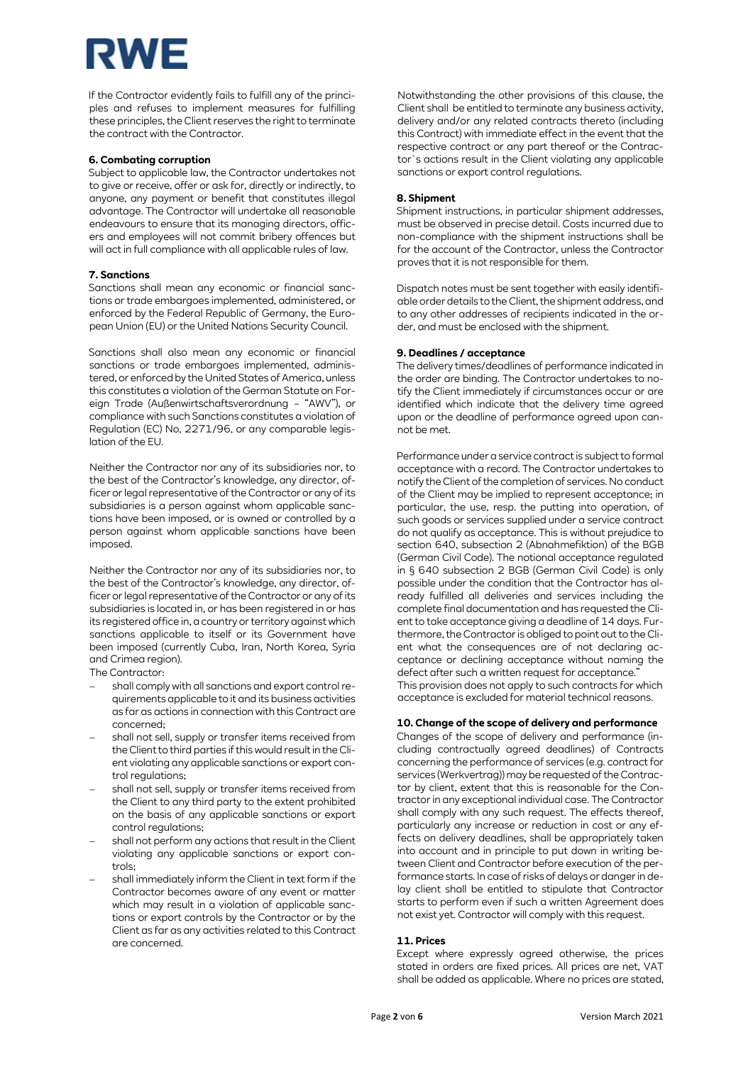# RWE

If the Contractor evidently fails to fulfill any of the principles and refuses to implement measures for fulfilling these principles, the Client reserves the right to terminate the contract with the Contractor.

### **6. Combating corruption**

Subject to applicable law, the Contractor undertakes not to give or receive, offer or ask for, directly or indirectly, to anyone, any payment or benefit that constitutes illegal advantage. The Contractor will undertake all reasonable endeavours to ensure that its managing directors, officers and employees will not commit bribery offences but will act in full compliance with all applicable rules of law.

## **7. Sanctions**

Sanctions shall mean any economic or financial sanctions or trade embargoes implemented, administered, or enforced by the Federal Republic of Germany, the European Union (EU) or the United Nations Security Council.

Sanctions shall also mean any economic or financial sanctions or trade embargoes implemented, administered, or enforced by the United States of America, unless this constitutes a violation of the German Statute on Foreign Trade (Außenwirtschaftsverordnung – "AWV"), or compliance with such Sanctions constitutes a violation of Regulation (EC) No, 2271/96, or any comparable legislation of the EU.

Neither the Contractor nor any of its subsidiaries nor, to the best of the Contractor's knowledge, any director, officer or legal representative of the Contractor or any of its subsidiaries is a person against whom applicable sanctions have been imposed, or is owned or controlled by a person against whom applicable sanctions have been imposed.

Neither the Contractor nor any of its subsidiaries nor, to the best of the Contractor's knowledge, any director, officer or legal representative of the Contractor or any of its subsidiaries is located in, or has been registered in or has its registered office in, a country or territory against which sanctions applicable to itself or its Government have been imposed (currently Cuba, Iran, North Korea, Syria and Crimea region).

The Contractor:

- − shall comply with all sanctions and export control requirements applicable to it and its business activities as far as actions in connection with this Contract are concerned;
- shall not sell, supply or transfer items received from the Client to third parties if this would result in the Client violating any applicable sanctions or export control regulations;
- shall not sell, supply or transfer items received from the Client to any third party to the extent prohibited on the basis of any applicable sanctions or export control regulations:
- − shall not perform any actions that result in the Client violating any applicable sanctions or export controls;
- − shall immediately inform the Client in text form if the Contractor becomes aware of any event or matter which may result in a violation of applicable sanctions or export controls by the Contractor or by the Client as far as any activities related to this Contract are concerned.

Notwithstanding the other provisions of this clause, the Client shall be entitled to terminate any business activity, delivery and/or any related contracts thereto (including this Contract) with immediate effect in the event that the respective contract or any part thereof or the Contractor`s actions result in the Client violating any applicable sanctions or export control regulations.

## **8. Shipment**

Shipment instructions, in particular shipment addresses, must be observed in precise detail. Costs incurred due to non-compliance with the shipment instructions shall be for the account of the Contractor, unless the Contractor proves that it is not responsible for them.

Dispatch notes must be sent together with easily identifiable order details to the Client, the shipment address, and to any other addresses of recipients indicated in the order, and must be enclosed with the shipment.

## **9. Deadlines / acceptance**

The delivery times/deadlines of performance indicated in the order are binding. The Contractor undertakes to notify the Client immediately if circumstances occur or are identified which indicate that the delivery time agreed upon or the deadline of performance agreed upon cannot be met.

Performance under a service contract is subject to formal acceptance with a record. The Contractor undertakes to notify the Client of the completion of services. No conduct of the Client may be implied to represent acceptance; in particular, the use, resp. the putting into operation, of such goods or services supplied under a service contract do not qualify as acceptance. This is without prejudice to section 640, subsection 2 (Abnahmefiktion) of the BGB (German Civil Code). The notional acceptance regulated in § 640 subsection 2 BGB (German Civil Code) is only possible under the condition that the Contractor has already fulfilled all deliveries and services including the complete final documentation and has requested the Client to take acceptance giving a deadline of 14 days. Furthermore, the Contractor is obliged to point out to the Client what the consequences are of not declaring acceptance or declining acceptance without naming the defect after such a written request for acceptance. This provision does not apply to such contracts for which acceptance is excluded for material technical reasons.

## **10. Change of the scope of delivery and performance**

Changes of the scope of delivery and performance (including contractually agreed deadlines) of Contracts concerning the performance of services (e.g. contract for services (Werkvertrag)) may be requested of the Contractor by client, extent that this is reasonable for the Contractor in any exceptional individual case. The Contractor shall comply with any such request. The effects thereof, particularly any increase or reduction in cost or any effects on delivery deadlines, shall be appropriately taken into account and in principle to put down in writing between Client and Contractor before execution of the performance starts. In case of risks of delays or danger in delay client shall be entitled to stipulate that Contractor starts to perform even if such a written Agreement does not exist yet. Contractor will comply with this request.

## **11. Prices**

Except where expressly agreed otherwise, the prices stated in orders are fixed prices. All prices are net, VAT shall be added as applicable. Where no prices are stated,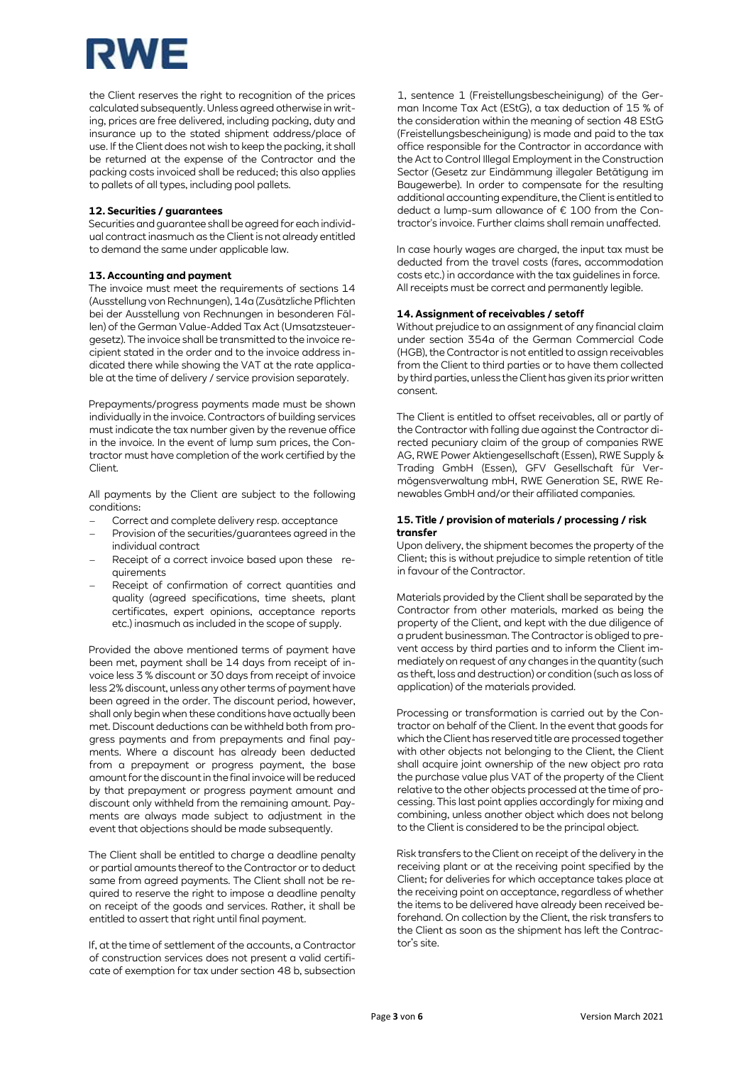# RWE

the Client reserves the right to recognition of the prices calculated subsequently. Unless agreed otherwise in writing, prices are free delivered, including packing, duty and insurance up to the stated shipment address/place of use. If the Client does not wish to keep the packing, it shall be returned at the expense of the Contractor and the packing costs invoiced shall be reduced; this also applies to pallets of all types, including pool pallets.

## **12. Securities / guarantees**

Securities and guarantee shall be agreed for each individual contract inasmuch as the Client is not already entitled to demand the same under applicable law.

## **13. Accounting and payment**

The invoice must meet the requirements of sections 14 (Ausstellung von Rechnungen), 14a (Zusätzliche Pflichten bei der Ausstellung von Rechnungen in besonderen Fällen) of the German Value-Added Tax Act (Umsatzsteuergesetz). The invoice shall be transmitted to the invoice recipient stated in the order and to the invoice address indicated there while showing the VAT at the rate applicable at the time of delivery / service provision separately.

Prepayments/progress payments made must be shown individually in the invoice. Contractors of building services must indicate the tax number given by the revenue office in the invoice. In the event of lump sum prices, the Contractor must have completion of the work certified by the Client.

All payments by the Client are subject to the following conditions:

- Correct and complete delivery resp. acceptance
- Provision of the securities/guarantees agreed in the individual contract
- − Receipt of a correct invoice based upon these requirements
- Receipt of confirmation of correct quantities and quality (agreed specifications, time sheets, plant certificates, expert opinions, acceptance reports etc.) inasmuch as included in the scope of supply.

Provided the above mentioned terms of payment have been met, payment shall be 14 days from receipt of invoice less 3 % discount or 30 days from receipt of invoice less 2% discount, unless any other terms of payment have been agreed in the order. The discount period, however, shall only begin when these conditions have actually been met. Discount deductions can be withheld both from progress payments and from prepayments and final payments. Where a discount has already been deducted from a prepayment or progress payment, the base amount for the discount in the final invoice will be reduced by that prepayment or progress payment amount and discount only withheld from the remaining amount. Payments are always made subject to adjustment in the event that objections should be made subsequently.

The Client shall be entitled to charge a deadline penalty or partial amounts thereof to the Contractor or to deduct same from agreed payments. The Client shall not be required to reserve the right to impose a deadline penalty on receipt of the goods and services. Rather, it shall be entitled to assert that right until final payment.

If, at the time of settlement of the accounts, a Contractor of construction services does not present a valid certificate of exemption for tax under section 48 b, subsection 1, sentence 1 (Freistellungsbescheinigung) of the German Income Tax Act (EStG), a tax deduction of 15 % of the consideration within the meaning of section 48 EStG (Freistellungsbescheinigung) is made and paid to the tax office responsible for the Contractor in accordance with the Act to Control Illegal Employment in the Construction Sector (Gesetz zur Eindämmung illegaler Betätigung im Baugewerbe). In order to compensate for the resulting additional accounting expenditure, the Client is entitled to deduct a lump-sum allowance of € 100 from the Contractor's invoice. Further claims shall remain unaffected.

In case hourly wages are charged, the input tax must be deducted from the travel costs (fares, accommodation costs etc.) in accordance with the tax guidelines in force. All receipts must be correct and permanently legible.

### **14. Assignment of receivables / setoff**

Without prejudice to an assignment of any financial claim under section 354a of the German Commercial Code (HGB), the Contractor is not entitled to assign receivables from the Client to third parties or to have them collected by third parties, unless the Client has given its prior written consent.

The Client is entitled to offset receivables, all or partly of the Contractor with falling due against the Contractor directed pecuniary claim of the group of companies RWE AG, RWE Power Aktiengesellschaft (Essen), RWE Supply & Trading GmbH (Essen), GFV Gesellschaft für Vermögensverwaltung mbH, RWE Generation SE, RWE Renewables GmbH and/or their affiliated companies.

## **15. Title / provision of materials / processing / risk transfer**

Upon delivery, the shipment becomes the property of the Client; this is without prejudice to simple retention of title in favour of the Contractor.

Materials provided by the Client shall be separated by the Contractor from other materials, marked as being the property of the Client, and kept with the due diligence of a prudent businessman. The Contractor is obliged to prevent access by third parties and to inform the Client immediately on request of any changes in the quantity (such as theft, loss and destruction) or condition (such as loss of application) of the materials provided.

Processing or transformation is carried out by the Contractor on behalf of the Client. In the event that goods for which the Client has reserved title are processed together with other objects not belonging to the Client, the Client shall acquire joint ownership of the new object pro rata the purchase value plus VAT of the property of the Client relative to the other objects processed at the time of processing. This last point applies accordingly for mixing and combining, unless another object which does not belong to the Client is considered to be the principal object.

Risk transfers to the Client on receipt of the delivery in the receiving plant or at the receiving point specified by the Client; for deliveries for which acceptance takes place at the receiving point on acceptance, regardless of whether the items to be delivered have already been received beforehand. On collection by the Client, the risk transfers to the Client as soon as the shipment has left the Contractor's site.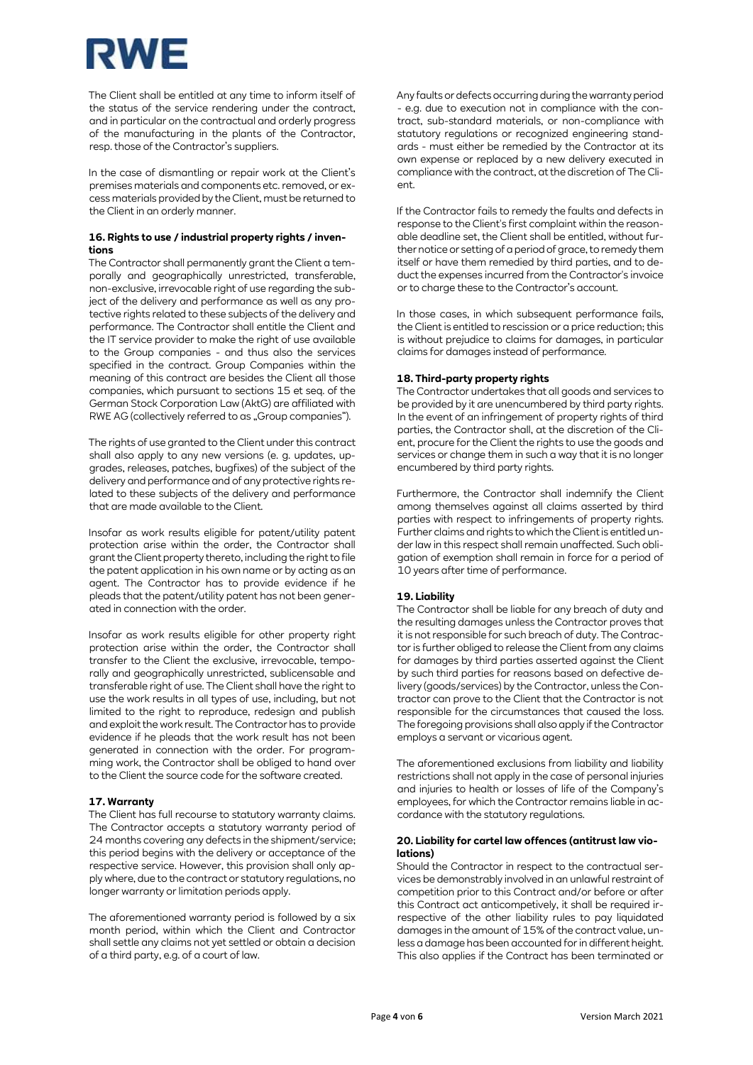## RWE

The Client shall be entitled at any time to inform itself of the status of the service rendering under the contract, and in particular on the contractual and orderly progress of the manufacturing in the plants of the Contractor, resp. those of the Contractor's suppliers.

In the case of dismantling or repair work at the Client's premises materials and components etc. removed, or excess materials provided by the Client, must be returned to the Client in an orderly manner.

## **16. Rights to use / industrial property rights / inventions**

The Contractor shall permanently grant the Client a temporally and geographically unrestricted, transferable, non-exclusive, irrevocable right of use regarding the subject of the delivery and performance as well as any protective rights related to these subjects of the delivery and performance. The Contractor shall entitle the Client and the IT service provider to make the right of use available to the Group companies - and thus also the services specified in the contract. Group Companies within the meaning of this contract are besides the Client all those companies, which pursuant to sections 15 et seq. of the German Stock Corporation Law (AktG) are affiliated with RWE AG (collectively referred to as "Group companies").

The rights of use granted to the Client under this contract shall also apply to any new versions (e. g. updates, upgrades, releases, patches, bugfixes) of the subject of the delivery and performance and of any protective rights related to these subjects of the delivery and performance that are made available to the Client.

Insofar as work results eligible for patent/utility patent protection arise within the order, the Contractor shall grant the Client property thereto, including the right to file the patent application in his own name or by acting as an agent. The Contractor has to provide evidence if he pleads that the patent/utility patent has not been generated in connection with the order.

Insofar as work results eligible for other property right protection arise within the order, the Contractor shall transfer to the Client the exclusive, irrevocable, temporally and geographically unrestricted, sublicensable and transferable right of use. The Client shall have the right to use the work results in all types of use, including, but not limited to the right to reproduce, redesign and publish and exploit the work result. The Contractor has to provide evidence if he pleads that the work result has not been generated in connection with the order. For programming work, the Contractor shall be obliged to hand over to the Client the source code for the software created.

## **17. Warranty**

The Client has full recourse to statutory warranty claims. The Contractor accepts a statutory warranty period of 24 months covering any defects in the shipment/service; this period begins with the delivery or acceptance of the respective service. However, this provision shall only apply where, due to the contract or statutory regulations, no longer warranty or limitation periods apply.

The aforementioned warranty period is followed by a six month period, within which the Client and Contractor shall settle any claims not yet settled or obtain a decision of a third party, e.g. of a court of law.

Any faults or defects occurring during the warranty period e.g. due to execution not in compliance with the contract, sub-standard materials, or non-compliance with statutory regulations or recognized engineering standards - must either be remedied by the Contractor at its own expense or replaced by a new delivery executed in compliance with the contract, at the discretion of The Client.

If the Contractor fails to remedy the faults and defects in response to the Client's first complaint within the reasonable deadline set, the Client shall be entitled, without further notice or setting of a period of grace, to remedy them itself or have them remedied by third parties, and to deduct the expenses incurred from the Contractor's invoice or to charge these to the Contractor's account.

In those cases, in which subsequent performance fails, the Client is entitled to rescission or a price reduction; this is without prejudice to claims for damages, in particular claims for damages instead of performance.

## **18. Third-party property rights**

The Contractor undertakes that all goods and services to be provided by it are unencumbered by third party rights. In the event of an infringement of property rights of third parties, the Contractor shall, at the discretion of the Client, procure for the Client the rights to use the goods and services or change them in such a way that it is no longer encumbered by third party rights.

Furthermore, the Contractor shall indemnify the Client among themselves against all claims asserted by third parties with respect to infringements of property rights. Further claims and rights to which the Client is entitled under law in this respect shall remain unaffected. Such obligation of exemption shall remain in force for a period of 10 years after time of performance.

## **19. Liability**

The Contractor shall be liable for any breach of duty and the resulting damages unless the Contractor proves that it is not responsible for such breach of duty. The Contractor is further obliged to release the Client from any claims for damages by third parties asserted against the Client by such third parties for reasons based on defective delivery (goods/services) by the Contractor, unless the Contractor can prove to the Client that the Contractor is not responsible for the circumstances that caused the loss. The foregoing provisions shall also apply if the Contractor employs a servant or vicarious agent.

The aforementioned exclusions from liability and liability restrictions shall not apply in the case of personal injuries and injuries to health or losses of life of the Company's employees, for which the Contractor remains liable in accordance with the statutory regulations.

## **20. Liability for cartel law offences (antitrust law violations)**

Should the Contractor in respect to the contractual services be demonstrably involved in an unlawful restraint of competition prior to this Contract and/or before or after this Contract act anticompetively, it shall be required irrespective of the other liability rules to pay liquidated damages in the amount of 15% of the contract value, unless a damage has been accounted for in different height. This also applies if the Contract has been terminated or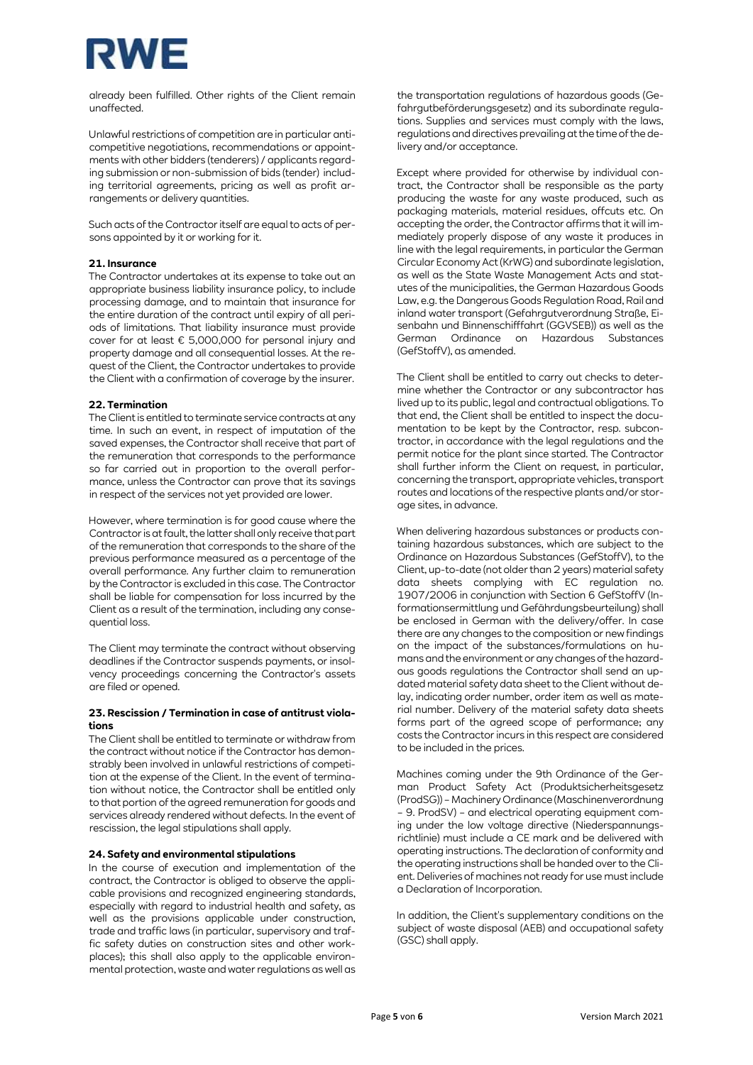

already been fulfilled. Other rights of the Client remain unaffected.

Unlawful restrictions of competition are in particular anticompetitive negotiations, recommendations or appointments with other bidders (tenderers) / applicants regarding submission or non-submission of bids (tender) including territorial agreements, pricing as well as profit arrangements or delivery quantities.

Such acts of the Contractor itself are equal to acts of persons appointed by it or working for it.

## **21. Insurance**

The Contractor undertakes at its expense to take out an appropriate business liability insurance policy, to include processing damage, and to maintain that insurance for the entire duration of the contract until expiry of all periods of limitations. That liability insurance must provide cover for at least € 5,000,000 for personal injury and property damage and all consequential losses. At the request of the Client, the Contractor undertakes to provide the Client with a confirmation of coverage by the insurer.

### **22. Termination**

The Client is entitled to terminate service contracts at any time. In such an event, in respect of imputation of the saved expenses, the Contractor shall receive that part of the remuneration that corresponds to the performance so far carried out in proportion to the overall performance, unless the Contractor can prove that its savings in respect of the services not yet provided are lower.

However, where termination is for good cause where the Contractor is at fault, the latter shall only receive that part of the remuneration that corresponds to the share of the previous performance measured as a percentage of the overall performance. Any further claim to remuneration by the Contractor is excluded in this case. The Contractor shall be liable for compensation for loss incurred by the Client as a result of the termination, including any consequential loss.

The Client may terminate the contract without observing deadlines if the Contractor suspends payments, or insolvency proceedings concerning the Contractor's assets are filed or opened.

### **23. Rescission / Termination in case of antitrust violations**

The Client shall be entitled to terminate or withdraw from the contract without notice if the Contractor has demonstrably been involved in unlawful restrictions of competition at the expense of the Client. In the event of termination without notice, the Contractor shall be entitled only to that portion of the agreed remuneration for goods and services already rendered without defects. In the event of rescission, the legal stipulations shall apply.

#### **24. Safety and environmental stipulations**

In the course of execution and implementation of the contract, the Contractor is obliged to observe the applicable provisions and recognized engineering standards, especially with regard to industrial health and safety, as well as the provisions applicable under construction, trade and traffic laws (in particular, supervisory and traffic safety duties on construction sites and other workplaces); this shall also apply to the applicable environmental protection, waste and water regulations as well as

the transportation regulations of hazardous goods (Gefahrgutbeförderungsgesetz) and its subordinate regulations. Supplies and services must comply with the laws, regulations and directives prevailing at the time of the delivery and/or acceptance.

Except where provided for otherwise by individual contract, the Contractor shall be responsible as the party producing the waste for any waste produced, such as packaging materials, material residues, offcuts etc. On accepting the order, the Contractor affirms that it will immediately properly dispose of any waste it produces in line with the legal requirements, in particular the German Circular Economy Act (KrWG) and subordinate legislation, as well as the State Waste Management Acts and statutes of the municipalities, the German Hazardous Goods Law, e.g. the Dangerous Goods Regulation Road, Rail and inland water transport (Gefahrgutverordnung Straße, Eisenbahn und Binnenschifffahrt (GGVSEB)) as well as the German Ordinance on Hazardous Substances (GefStoffV), as amended.

The Client shall be entitled to carry out checks to determine whether the Contractor or any subcontractor has lived up to its public, legal and contractual obligations. To that end, the Client shall be entitled to inspect the documentation to be kept by the Contractor, resp. subcontractor, in accordance with the legal regulations and the permit notice for the plant since started. The Contractor shall further inform the Client on request, in particular, concerning the transport, appropriate vehicles, transport routes and locations of the respective plants and/or storage sites, in advance.

When delivering hazardous substances or products containing hazardous substances, which are subject to the Ordinance on Hazardous Substances (GefStoffV), to the Client, up-to-date (not older than 2 years) material safety data sheets complying with EC regulation no. 1907/2006 in conjunction with Section 6 GefStoffV (Informationsermittlung und Gefährdungsbeurteilung) shall be enclosed in German with the delivery/offer. In case there are any changes to the composition or new findings on the impact of the substances/formulations on humans and the environment or any changes of the hazardous goods regulations the Contractor shall send an updated material safety data sheet to the Client without delay, indicating order number, order item as well as material number. Delivery of the material safety data sheets forms part of the agreed scope of performance; any costs the Contractor incurs in this respect are considered to be included in the prices.

Machines coming under the 9th Ordinance of the German Product Safety Act (Produktsicherheitsgesetz (ProdSG)) – Machinery Ordinance (Maschinenverordnung – 9. ProdSV) – and electrical operating equipment coming under the low voltage directive (Niederspannungsrichtlinie) must include a CE mark and be delivered with operating instructions. The declaration of conformity and the operating instructions shall be handed over to the Client. Deliveries of machines not ready for use must include a Declaration of Incorporation.

In addition, the Client's supplementary conditions on the subject of waste disposal (AEB) and occupational safety (GSC) shall apply.